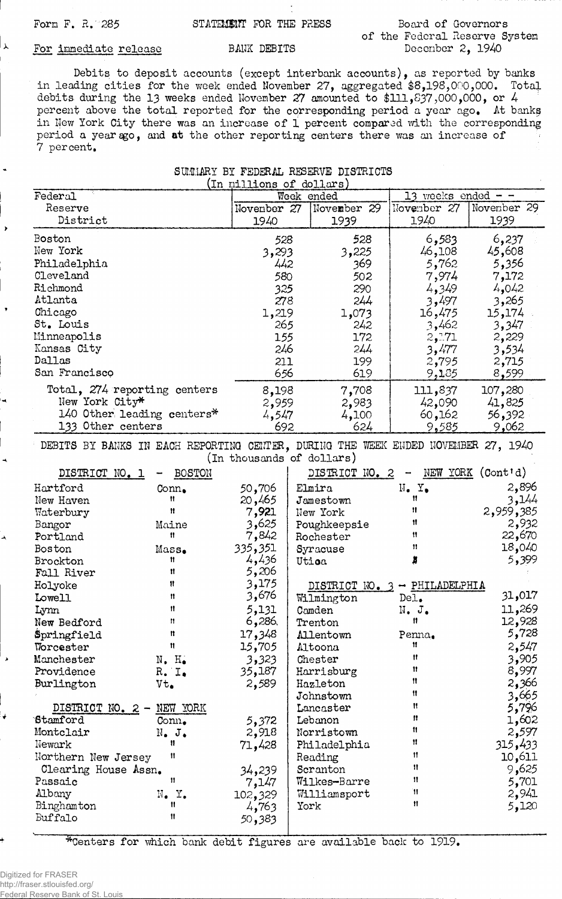لا ا

## Form F. R. 285 **STATEMENT** FOR THE PRESS

## **Board of Governors of the Federal Reserve System December 2, 1940**

## **For immediate release**

**BANK DEBITS**

**Debits to deposit accounts (except interbank accounts), as reported by banks in leading cities for the week ended November 27, aggregated \$8,198,000,000. Total debits during the 13 weeks ended November 27 amounted to \$111,837,000,000, or 4 percent above the total reported for the corresponding period a year ago. At banks in New York City there was an increase of 1 percent compared with the corresponding** period a year ago, and at the other reporting centers there was an increase of **7 percent.**

SUMMARY BY FEDERAL RESERVE DISTRICTS

| (In millions of dollars)                                                          |                                  |                           |  |                |                             |                   |  |  |
|-----------------------------------------------------------------------------------|----------------------------------|---------------------------|--|----------------|-----------------------------|-------------------|--|--|
| Federal                                                                           |                                  |                           |  | Week ended     | 13 weeks ended<br>$- -$     |                   |  |  |
| Reserve                                                                           |                                  | November 27               |  | November 29    | November 27                 | November 29       |  |  |
| District                                                                          |                                  | 1940                      |  | 1939           | 1940                        | 1939              |  |  |
| Boston                                                                            |                                  |                           |  | 528            | 6,583                       |                   |  |  |
| New York                                                                          |                                  | 528                       |  |                |                             | 6,237             |  |  |
|                                                                                   |                                  | 3,293                     |  | 3,225          | 46,108                      | 45,608            |  |  |
| Philadelphia                                                                      |                                  | 442                       |  | 369            | 5,762                       | 5,356             |  |  |
| Cleveland                                                                         |                                  | 580                       |  | 502            | 7,974                       | 7,172             |  |  |
| Richmond                                                                          |                                  | 325                       |  | 290            | 4,349                       | 4,042             |  |  |
| Atlanta                                                                           |                                  | 278                       |  | 244            | 3,497                       | 3,265             |  |  |
| Chicago                                                                           |                                  | 1,219                     |  | 1,073          | 16,475                      | 15,174            |  |  |
| St. Louis                                                                         |                                  | 265                       |  | 242            | 3,462                       | 3,347             |  |  |
| Minneapolis                                                                       |                                  | 155                       |  | 172            | 2,171                       | 2,229             |  |  |
| Kansas City                                                                       |                                  | 246                       |  | 244            | 3,477                       | 3,534             |  |  |
| Dallas                                                                            |                                  | 211                       |  | 199            | 2,795                       | 2,715             |  |  |
| San Francisco                                                                     |                                  | 656                       |  | 619            | 9,185                       | 8,599             |  |  |
| Total, 274 reporting centers                                                      |                                  | 8,198                     |  | 7,708          | 111,837                     | 107,280           |  |  |
| New York City*                                                                    |                                  | 2,959                     |  | 2,983          | 42,090                      | 41,825            |  |  |
|                                                                                   | 140 Other leading centers*       | 4,547                     |  | 4,100          | 60,162                      | 56,392            |  |  |
| 133 Other centers                                                                 |                                  | 692                       |  | 624            | 9,585                       | 9,062             |  |  |
|                                                                                   |                                  |                           |  |                |                             |                   |  |  |
| DEBITS BY BANKS IN EACH REPORTING CENTER, DURING THE WEEK ENDED NOVEMBER 27, 1940 |                                  |                           |  |                |                             |                   |  |  |
|                                                                                   |                                  | (In thousands of dollars) |  |                |                             |                   |  |  |
| DISTRICT NO. 1                                                                    | <b>BOSTON</b>                    |                           |  | DISTRICT NO. 2 |                             | NEW YORK (Cont'd) |  |  |
| Hartford                                                                          | $Conn_{\bullet}$                 | 50,706                    |  | Elmira         | $N_{\bullet}$ $Y_{\bullet}$ | 2,896             |  |  |
| New Haven                                                                         | Ħ                                | 20,465                    |  | Jamestown      | Ħ                           | 3,144             |  |  |
| Waterbury                                                                         | 11                               | 7,921                     |  | New York       | Ħ                           | 2,959,385         |  |  |
| Bangor                                                                            | Maine                            | 3,625                     |  | Poughkeepsie   | Ħ                           | 2,932             |  |  |
| Portland                                                                          | Ħ                                | 7,842                     |  | Rochester      | Ħ                           | 22,670            |  |  |
| Boston                                                                            | $Mass_{\bullet}$                 | 335,351                   |  | Syracuse       | 11                          | 18,040            |  |  |
| <b>Brockton</b>                                                                   | Ħ                                | 4,436                     |  | Utioa          | x                           | 5,399             |  |  |
| Fall River                                                                        | Ħ                                | 5,206                     |  |                |                             |                   |  |  |
| Holyoke                                                                           | Ħ                                | 3,175                     |  | DISTRICT NO.   | - PHILADELPHIA              |                   |  |  |
| Lowell                                                                            | 11                               | 3,676                     |  | Wilmington     | De <sub>1</sub>             | 31,017            |  |  |
| Lynn                                                                              | Ħ                                | 5,131                     |  | Camden         | $N_{\bullet}$ $J_{\bullet}$ | 11,269            |  |  |
| New Bedford                                                                       | Ħ                                | 6,286                     |  | Trenton        | 11                          | 12,928            |  |  |
| Springfield                                                                       | Ħ                                | 17,348                    |  | Allentown      | Penna.                      | 5,728             |  |  |
| Worcester                                                                         | Ħ                                | 15,705                    |  | Altoona        | Ħ                           | 2,547             |  |  |
| Manchester                                                                        | $N_{\bullet}$ $H_{\bullet}$      | 3,323                     |  | Chester        | Ħ                           | 3,905             |  |  |
| Providence                                                                        | R. I.                            | 35,187                    |  | Harrisburg     | 11                          | 8,997             |  |  |
| Burlington                                                                        | $Vt_{\bullet}$                   | 2,589                     |  | Hazleton       | 11                          | 2,366             |  |  |
|                                                                                   |                                  |                           |  | Johnstown      | Ħ                           | 3,665             |  |  |
| DISTRICT NO. 2 -                                                                  | NEW YORK                         |                           |  | Lancaster      | Ħ                           | 5,796             |  |  |
| Stamford                                                                          | Conn.                            | 5,372                     |  | Lebanon        | n                           | 1,602             |  |  |
| Montclair                                                                         | $N_{\bullet}$ J.                 | 2,918                     |  | Norristown     | Ħ                           | 2,597             |  |  |
| Newark                                                                            | Ħ                                | 71,428                    |  | Philadelphia   | 11                          | 315,433           |  |  |
| Northern New Jersey                                                               | Ħ                                |                           |  | Reading        | Ħ                           | 10,611            |  |  |
| Clearing House Assn.                                                              |                                  |                           |  | Scranton       | Π                           | 9,625             |  |  |
| Passaic                                                                           | 11                               | 34,239                    |  |                | 11                          |                   |  |  |
| Albany                                                                            |                                  | 7,147                     |  | Wilkes-Barre   | π                           | 5,701             |  |  |
|                                                                                   | $N_{\bullet}$ $Y_{\bullet}$<br>Ħ | 102,329                   |  | Williamsport   | 11                          | 2,941             |  |  |
| Binghamton                                                                        | Ħ                                | 4,763                     |  | York           |                             | 5,120             |  |  |
| Buffalo                                                                           |                                  | 50,383                    |  |                |                             |                   |  |  |

**^Centers for which bank debit figures are available back to 1919.**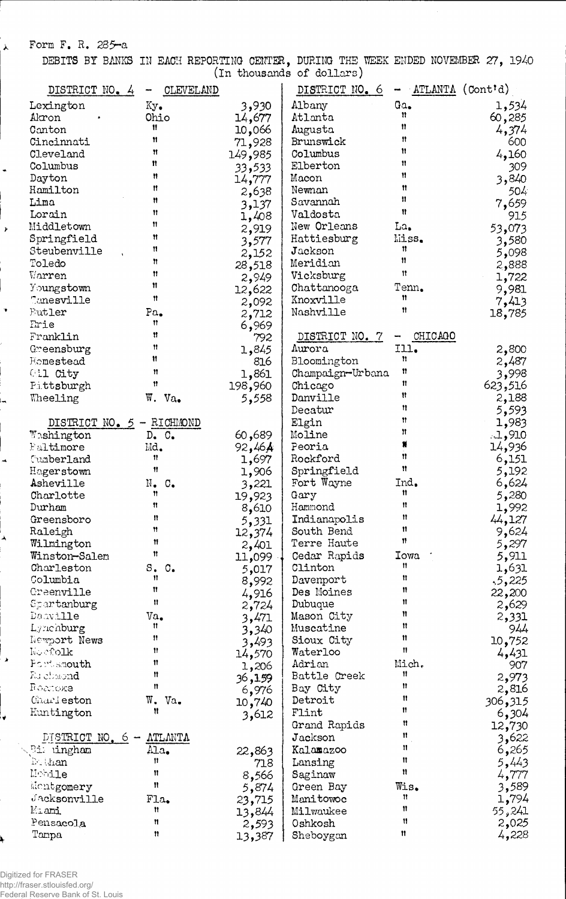Form F. R. 285-a

 $\mathbf{r}$ 

 $\ddot{\phantom{a}}$ 

 $\bar{r}$ 

 $\hat{\mathbf{v}}$ 

 $\overline{1}$ 

4

 $\overline{\mathbf{A}}$ 

 $\blacktriangleright$ 

₹

4

DEBITS BY BANKS IN EACH REPORTING CENTER, DURING THE WEEK ENDED NOVEMBER 27, 1940 (In thousands of dollars)

|                           |                             |                 | $\mu$ and $\mu$ and $\sigma$ and $\sigma$ |                      |                 |
|---------------------------|-----------------------------|-----------------|-------------------------------------------|----------------------|-----------------|
| DISTRICT NO. 4            | CLEVELAND<br>₩.             |                 | DISTRICT NO. 6                            | $-$ ATLANTA (Cont'd) |                 |
| Lexington                 | Ky.                         | 3,930           | Albany                                    | Ga.                  | 1,534           |
| Akron                     | Ohio                        | 14,677          | Atlanta                                   | n                    | 60,285          |
| Canton                    | Ħ                           | 10,066          | Augusta                                   | Ħ                    | 4,374           |
| Cincinnati                | n                           | 71,928          | Brunswick                                 | Ħ                    | 600             |
| Cleveland                 | Ħ                           | 149,985         | Columbus                                  | Ħ                    | 4,160           |
| Columbus                  | Ħ                           | 33,533          | Elberton                                  | Ħ                    | 309             |
| Dayton                    | Ħ                           | 14,777          | Macon                                     | Ħ                    | 3,840           |
| Hamilton                  | Ħ                           | 2,638           | Newnan                                    | Ħ                    | 504             |
| Lima                      | Ħ                           | 3,137           | Savannah                                  | Ħ                    | 7,659           |
| Lorain                    | Ħ                           | 1,408           | Valdosta                                  | Ħ                    | 915             |
| Middletown                | Ħ                           | 2,919           | New Orleans                               | La,                  | 53,073          |
| Springfield               | Ħ                           | 3,577           | Hattiesburg                               | Miss.                | 3,580           |
| Steubenville              | n                           | 2,152           | Jackson                                   | n                    | 5,098           |
| Toledo                    | Ħ                           | 28,518          | Meridian                                  | 11                   | 2,888           |
| Warren                    | Ħ                           | 2,949           | Vicksburg                                 | 11                   | 1,722           |
| Youngstown                | Ħ                           | 12,622          | Chattanooga                               | Tenn.                | 9,981           |
| Tanesville                | Ħ                           | 2,092           | Knoxville                                 | Ħ                    | 7,413           |
| Eutler                    | Pa <sub>o</sub>             | 2,712           | Nashville                                 | Ħ                    | 18,785          |
| Erie                      | Ħ                           | 6,969           |                                           |                      |                 |
| Franklin                  | Ħ                           | 792             | DISTRICT NO. 7                            | CHICAGO<br>÷         |                 |
| Greensburg                | Ħ                           | 1,845           | Aurora                                    | Ill.                 | 2,800           |
| Homestead                 | Ħ                           | 816             | Bloomington                               | n                    | 2,487           |
| Oil City                  | n                           | 1,861           | Champaign-Urbana                          | Ħ                    | 3,998           |
| Pittsburgh                | Ħ                           | 198,960         | Chicago                                   | Ħ                    | 623,516         |
| Wheeling                  | W. Va.                      | 5,558           | Danville                                  | Ħ                    | 2,188           |
|                           |                             |                 | Decatur                                   | Ħ                    | 5,593           |
| DISTRICT NO. 5 - RICHMOND |                             |                 | Elgin                                     | Ħ                    | 1,983           |
| Washington                | $D_{\bullet}$ $C_{\bullet}$ | 60,689          | Moline                                    | n                    | 1,910           |
| Faltimore                 | Md.                         | 92,464          | Peoria                                    |                      | 14,936          |
| Cumberland                | Ħ                           | 1,697           | Rockford                                  | n                    | 6,151           |
| Hagerstown                | Ħ                           | 1,906           | Springfield                               | Ħ                    | 5,192           |
| Asheville                 | $N_{\bullet}$ $C_{\bullet}$ | 3,221           | Fort Wayne                                | Ind.                 | 6,624           |
| Charlotte                 | Ħ                           | 19,923          | Gary                                      | Ħ                    | 5,280           |
| Durham                    | Ħ                           | 8,610           | Hammond                                   | 11                   | 1,992           |
| Greensboro                | n                           | 5,331           | Indianapolis                              | Ħ                    | 44,127          |
| Raleigh                   | π                           | 12,374          | South Bend                                | п                    | 9,624           |
| Wilmington                | Ħ                           | 2,401           | Terre Haute                               | Ħ                    | 5,297           |
| Winston-Salem             | Ħ                           | 11,099          | Cedar Rapids                              | Towa                 | 5,911           |
| Charleston                | $S_{\bullet}$<br>$\circ$ .  | 5,017           | Clinton                                   | n                    | 1,631           |
| Columbia                  | 11                          | 8,992           | Davenport                                 | n                    | 5,225           |
| Greenville                | Ħ                           |                 | Des Moines                                | Ħ                    | 22,200          |
| Spartanburg               | Ħ                           | 4,916           | Dubuque                                   | Ħ                    | 2,629           |
| Dacville                  | Va.                         | 2,724<br>3,471  | Mason City                                | Ħ                    | 2,331           |
| Lynchburg                 | Ħ                           | 3,340           | Muscatine                                 | n                    | 944             |
| Newport News              | 11.                         |                 | Sioux City                                | Ħ                    | 10,752          |
| Noofolk                   | Ħ                           | 3,493           | Waterloo                                  | n                    | 4,431           |
| Fort smouth               | Ħ                           | 14,570          | Adrian                                    | Mich.                | 907             |
| Fu chaond                 | Ħ                           | 1,206           | Battle Creek                              | Ħ                    | 2,973           |
| Воглоке                   | n                           | 36,159<br>6,976 | Bay City                                  | Ħ                    | 2,816           |
| Charleston                | W. Va.                      |                 | Detroit                                   | Ħ                    | 306,315         |
| Huntington                | Ħ                           | 10,740          | Flint                                     | 11                   | 6,304           |
|                           |                             | 3,612           | Grand Rapids                              | Ħ                    |                 |
| DISTRICT NO. 6 -          | <b>ATLANTA</b>              |                 | Jackson                                   | Ħ                    | 12,730<br>3,622 |
| <b>Bi ungham</b>          | ${\rm Ma}_{\bullet}$        |                 | Kalamazoo                                 | Ħ                    | 6,265           |
| Du bhan                   | 11                          | 22,863          |                                           | 11                   |                 |
| Mobile                    | Ħ                           | 718             | Lansing                                   | n                    | 5,443           |
|                           | Ħ                           | 8,566           | Saginaw                                   | Wis.                 | 4,777           |
| Montgomery                |                             | 5,874           | Green Bay                                 | 11                   | 3,589           |
| Jacksonville              | Fla.<br>Ħ                   | 23,715          | Manitowoc                                 | Ħ                    | 1,794           |
| Miami                     | n                           | 13,844          | Milwaukee                                 | 11                   | 55,241          |
| Pensacola                 |                             | 2,593           | Oshkosh                                   | Ħ                    | 2,025           |
| Tampa                     | n                           | 13,387          | Sheboygan                                 |                      | 4,228           |